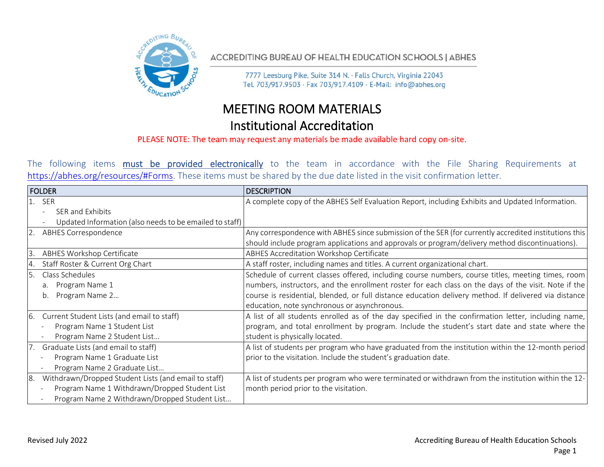

ACCREDITING BUREAU OF HEALTH EDUCATION SCHOOLS | ABHES

7777 Leesburg Pike, Suite 314 N. · Falls Church, Virginia 22043 Tel. 703/917.9503 · Fax 703/917.4109 · E-Mail: info@abhes.org

## MEETING ROOM MATERIALS Institutional Accreditation

## PLEASE NOTE: The team may request any materials be made available hard copy on-site.

The following items must be provided electronically to the team in accordance with the File Sharing Requirements at [https://abhes.org/resources/#Forms.](https://abhes.org/resources/#Forms) These items must be shared by the due date listed in the visit confirmation letter.

|     | <b>FOLDER</b>                                           | <b>DESCRIPTION</b>                                                                                    |
|-----|---------------------------------------------------------|-------------------------------------------------------------------------------------------------------|
|     | 1. SER                                                  | A complete copy of the ABHES Self Evaluation Report, including Exhibits and Updated Information.      |
|     | SER and Exhibits                                        |                                                                                                       |
|     | Updated Information (also needs to be emailed to staff) |                                                                                                       |
|     | <b>ABHES Correspondence</b>                             | Any correspondence with ABHES since submission of the SER (for currently accredited institutions this |
|     |                                                         | should include program applications and approvals or program/delivery method discontinuations).       |
| 3   | ABHES Workshop Certificate                              | ABHES Accreditation Workshop Certificate                                                              |
| Ι4. | Staff Roster & Current Org Chart                        | A staff roster, including names and titles. A current organizational chart.                           |
|     | Class Schedules                                         | Schedule of current classes offered, including course numbers, course titles, meeting times, room     |
|     | Program Name 1<br>a.                                    | numbers, instructors, and the enrollment roster for each class on the days of the visit. Note if the  |
|     | Program Name 2<br>b.                                    | course is residential, blended, or full distance education delivery method. If delivered via distance |
|     |                                                         | education, note synchronous or asynchronous.                                                          |
| 6.  | Current Student Lists (and email to staff)              | A list of all students enrolled as of the day specified in the confirmation letter, including name,   |
|     | Program Name 1 Student List                             | program, and total enrollment by program. Include the student's start date and state where the        |
|     | Program Name 2 Student List                             | student is physically located.                                                                        |
|     | Graduate Lists (and email to staff)                     | A list of students per program who have graduated from the institution within the 12-month period     |
|     | Program Name 1 Graduate List                            | prior to the visitation. Include the student's graduation date.                                       |
|     | Program Name 2 Graduate List                            |                                                                                                       |
| 8.  | Withdrawn/Dropped Student Lists (and email to staff)    | A list of students per program who were terminated or withdrawn from the institution within the 12-   |
|     | Program Name 1 Withdrawn/Dropped Student List           | month period prior to the visitation.                                                                 |
|     | Program Name 2 Withdrawn/Dropped Student List           |                                                                                                       |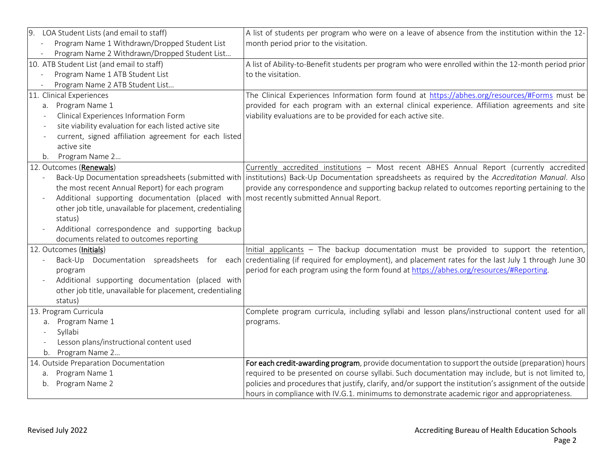| 9.<br>LOA Student Lists (and email to staff)                                                                        | A list of students per program who were on a leave of absence from the institution within the 12-                                                 |
|---------------------------------------------------------------------------------------------------------------------|---------------------------------------------------------------------------------------------------------------------------------------------------|
| Program Name 1 Withdrawn/Dropped Student List                                                                       | month period prior to the visitation.                                                                                                             |
| Program Name 2 Withdrawn/Dropped Student List                                                                       |                                                                                                                                                   |
| 10. ATB Student List (and email to staff)                                                                           | A list of Ability-to-Benefit students per program who were enrolled within the 12-month period prior                                              |
| Program Name 1 ATB Student List                                                                                     | to the visitation.                                                                                                                                |
| Program Name 2 ATB Student List                                                                                     |                                                                                                                                                   |
| 11. Clinical Experiences                                                                                            | The Clinical Experiences Information form found at https://abhes.org/resources/#Forms must be                                                     |
| a. Program Name 1                                                                                                   | provided for each program with an external clinical experience. Affiliation agreements and site                                                   |
| Clinical Experiences Information Form                                                                               | viability evaluations are to be provided for each active site.                                                                                    |
| site viability evaluation for each listed active site<br>$\overline{\phantom{a}}$                                   |                                                                                                                                                   |
| current, signed affiliation agreement for each listed                                                               |                                                                                                                                                   |
| active site                                                                                                         |                                                                                                                                                   |
| Program Name 2<br>b.                                                                                                |                                                                                                                                                   |
| 12. Outcomes (Renewals)                                                                                             | Currently accredited institutions - Most recent ABHES Annual Report (currently accredited                                                         |
|                                                                                                                     | Back-Up Documentation spreadsheets (submitted with institutions) Back-Up Documentation spreadsheets as required by the Accreditation Manual. Also |
| the most recent Annual Report) for each program                                                                     | provide any correspondence and supporting backup related to outcomes reporting pertaining to the                                                  |
| Additional supporting documentation (placed with most recently submitted Annual Report.<br>$\overline{\phantom{a}}$ |                                                                                                                                                   |
| other job title, unavailable for placement, credentialing                                                           |                                                                                                                                                   |
| status)                                                                                                             |                                                                                                                                                   |
| Additional correspondence and supporting backup                                                                     |                                                                                                                                                   |
| documents related to outcomes reporting                                                                             |                                                                                                                                                   |
| 12. Outcomes (Initials)                                                                                             | Initial applicants - The backup documentation must be provided to support the retention,                                                          |
| Back-Up                                                                                                             | Documentation spreadsheets for each credentialing (if required for employment), and placement rates for the last July 1 through June 30           |
| program                                                                                                             | period for each program using the form found at https://abhes.org/resources/#Reporting.                                                           |
| Additional supporting documentation (placed with                                                                    |                                                                                                                                                   |
| other job title, unavailable for placement, credentialing                                                           |                                                                                                                                                   |
| status)                                                                                                             |                                                                                                                                                   |
| 13. Program Curricula                                                                                               | Complete program curricula, including syllabi and lesson plans/instructional content used for all                                                 |
| a. Program Name 1                                                                                                   | programs.                                                                                                                                         |
| Syllabi                                                                                                             |                                                                                                                                                   |
| Lesson plans/instructional content used                                                                             |                                                                                                                                                   |
| Program Name 2<br>b.                                                                                                |                                                                                                                                                   |
| 14. Outside Preparation Documentation                                                                               | For each credit-awarding program, provide documentation to support the outside (preparation) hours                                                |
| Program Name 1<br>a.                                                                                                | required to be presented on course syllabi. Such documentation may include, but is not limited to,                                                |
| Program Name 2<br>b.                                                                                                | policies and procedures that justify, clarify, and/or support the institution's assignment of the outside                                         |
|                                                                                                                     | hours in compliance with IV.G.1. minimums to demonstrate academic rigor and appropriateness.                                                      |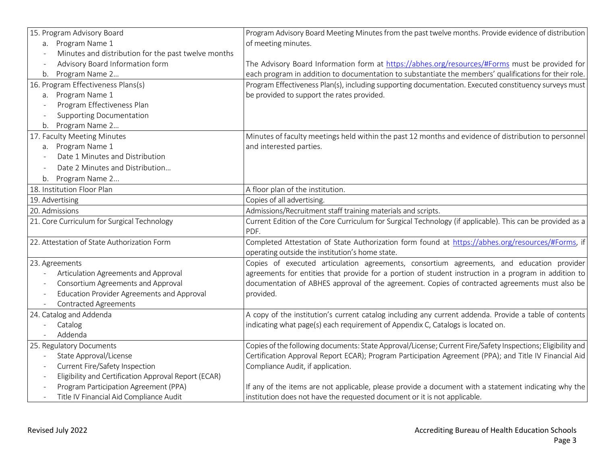| 15. Program Advisory Board                                                       | Program Advisory Board Meeting Minutes from the past twelve months. Provide evidence of distribution        |
|----------------------------------------------------------------------------------|-------------------------------------------------------------------------------------------------------------|
| a. Program Name 1                                                                | of meeting minutes.                                                                                         |
| Minutes and distribution for the past twelve months<br>$\overline{a}$            |                                                                                                             |
| Advisory Board Information form<br>$\overline{\phantom{a}}$                      | The Advisory Board Information form at https://abhes.org/resources/#Forms must be provided for              |
| Program Name 2<br>b.                                                             | each program in addition to documentation to substantiate the members' qualifications for their role.       |
| 16. Program Effectiveness Plans(s)                                               | Program Effectiveness Plan(s), including supporting documentation. Executed constituency surveys must       |
| a. Program Name 1                                                                | be provided to support the rates provided.                                                                  |
| Program Effectiveness Plan                                                       |                                                                                                             |
| <b>Supporting Documentation</b><br>$\overline{\phantom{a}}$                      |                                                                                                             |
| Program Name 2<br>b.                                                             |                                                                                                             |
| 17. Faculty Meeting Minutes                                                      | Minutes of faculty meetings held within the past 12 months and evidence of distribution to personnel        |
| a. Program Name 1                                                                | and interested parties.                                                                                     |
| Date 1 Minutes and Distribution                                                  |                                                                                                             |
| Date 2 Minutes and Distribution<br>$\overline{\phantom{a}}$                      |                                                                                                             |
| Program Name 2<br>b.                                                             |                                                                                                             |
| 18. Institution Floor Plan                                                       | A floor plan of the institution.                                                                            |
| 19. Advertising                                                                  | Copies of all advertising.                                                                                  |
| 20. Admissions                                                                   | Admissions/Recruitment staff training materials and scripts.                                                |
| 21. Core Curriculum for Surgical Technology                                      | Current Edition of the Core Curriculum for Surgical Technology (if applicable). This can be provided as a   |
|                                                                                  | PDF.                                                                                                        |
| 22. Attestation of State Authorization Form                                      | Completed Attestation of State Authorization form found at https://abhes.org/resources/#Forms, if           |
|                                                                                  | operating outside the institution's home state.                                                             |
| 23. Agreements                                                                   | Copies of executed articulation agreements, consortium agreements, and education provider                   |
| Articulation Agreements and Approval                                             | agreements for entities that provide for a portion of student instruction in a program in addition to       |
| Consortium Agreements and Approval                                               | documentation of ABHES approval of the agreement. Copies of contracted agreements must also be              |
| Education Provider Agreements and Approval<br>$\overline{\phantom{a}}$           | provided.                                                                                                   |
| <b>Contracted Agreements</b><br>$\overline{\phantom{a}}$                         |                                                                                                             |
| 24. Catalog and Addenda                                                          | A copy of the institution's current catalog including any current addenda. Provide a table of contents      |
| Catalog                                                                          | indicating what page(s) each requirement of Appendix C, Catalogs is located on.                             |
| Addenda                                                                          |                                                                                                             |
| 25. Regulatory Documents                                                         | Copies of the following documents: State Approval/License; Current Fire/Safety Inspections; Eligibility and |
| State Approval/License                                                           | Certification Approval Report ECAR); Program Participation Agreement (PPA); and Title IV Financial Aid      |
| Current Fire/Safety Inspection<br>$\overline{\phantom{a}}$                       | Compliance Audit, if application.                                                                           |
| Eligibility and Certification Approval Report (ECAR)<br>$\overline{\phantom{a}}$ |                                                                                                             |
| Program Participation Agreement (PPA)                                            | If any of the items are not applicable, please provide a document with a statement indicating why the       |
| Title IV Financial Aid Compliance Audit<br>$\overline{\phantom{a}}$              | institution does not have the requested document or it is not applicable.                                   |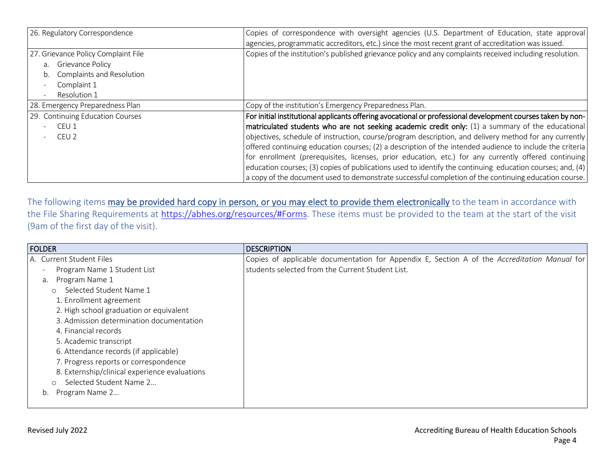| 26. Regulatory Correspondence                    | Copies of correspondence with oversight agencies (U.S. Department of Education, state approval              |
|--------------------------------------------------|-------------------------------------------------------------------------------------------------------------|
|                                                  | agencies, programmatic accreditors, etc.) since the most recent grant of accreditation was issued.          |
| 27. Grievance Policy Complaint File              | Copies of the institution's published grievance policy and any complaints received including resolution.    |
| a. Grievance Policy<br>Complaints and Resolution |                                                                                                             |
| Complaint 1                                      |                                                                                                             |
| Resolution 1                                     |                                                                                                             |
| 28. Emergency Preparedness Plan                  | Copy of the institution's Emergency Preparedness Plan.                                                      |
| 29. Continuing Education Courses                 | For initial institutional applicants offering avocational or professional development courses taken by non- |
| CEU 1                                            | matriculated students who are not seeking academic credit only: (1) a summary of the educational            |
| CEU 2                                            | objectives, schedule of instruction, course/program description, and delivery method for any currently      |
|                                                  | offered continuing education courses; (2) a description of the intended audience to include the criteria    |
|                                                  | for enrollment (prerequisites, licenses, prior education, etc.) for any currently offered continuing        |
|                                                  | education courses; (3) copies of publications used to identify the continuing education courses; and, (4)   |
|                                                  | a copy of the document used to demonstrate successful completion of the continuing education course.        |

The following items may be provided hard copy in person, or you may elect to provide them electronically to the team in accordance with the File Sharing Requirements at [https://abhes.org/resources/#Forms.](https://abhes.org/resources/#Forms) These items must be provided to the team at the start of the visit (9am of the first day of the visit).

| <b>FOLDER</b>                                 | <b>DESCRIPTION</b>                                                                           |
|-----------------------------------------------|----------------------------------------------------------------------------------------------|
| A. Current Student Files                      | Copies of applicable documentation for Appendix E, Section A of the Accreditation Manual for |
| Program Name 1 Student List                   | students selected from the Current Student List.                                             |
| Program Name 1<br>а.                          |                                                                                              |
| Selected Student Name 1<br>$\circ$            |                                                                                              |
| 1. Enrollment agreement                       |                                                                                              |
| 2. High school graduation or equivalent       |                                                                                              |
| 3. Admission determination documentation      |                                                                                              |
| 4. Financial records                          |                                                                                              |
| 5. Academic transcript                        |                                                                                              |
| 6. Attendance records (if applicable)         |                                                                                              |
| 7. Progress reports or correspondence         |                                                                                              |
| 8. Externship/clinical experience evaluations |                                                                                              |
| Selected Student Name 2<br>$\circ$            |                                                                                              |
| Program Name 2<br>b.                          |                                                                                              |
|                                               |                                                                                              |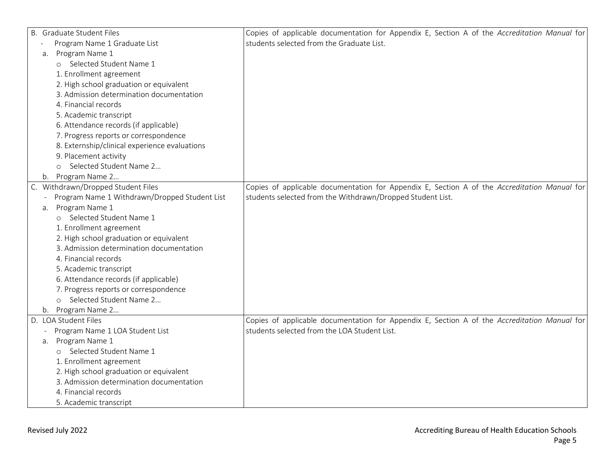| B. Graduate Student Files                     | Copies of applicable documentation for Appendix E, Section A of the Accreditation Manual for |
|-----------------------------------------------|----------------------------------------------------------------------------------------------|
| Program Name 1 Graduate List                  | students selected from the Graduate List.                                                    |
| Program Name 1<br>а.                          |                                                                                              |
| o Selected Student Name 1                     |                                                                                              |
| 1. Enrollment agreement                       |                                                                                              |
| 2. High school graduation or equivalent       |                                                                                              |
| 3. Admission determination documentation      |                                                                                              |
| 4. Financial records                          |                                                                                              |
| 5. Academic transcript                        |                                                                                              |
| 6. Attendance records (if applicable)         |                                                                                              |
| 7. Progress reports or correspondence         |                                                                                              |
| 8. Externship/clinical experience evaluations |                                                                                              |
| 9. Placement activity                         |                                                                                              |
| Selected Student Name 2<br>$\circ$            |                                                                                              |
| Program Name 2<br>b.                          |                                                                                              |
| C. Withdrawn/Dropped Student Files            | Copies of applicable documentation for Appendix E, Section A of the Accreditation Manual for |
| Program Name 1 Withdrawn/Dropped Student List | students selected from the Withdrawn/Dropped Student List.                                   |
| a. Program Name 1                             |                                                                                              |
| o Selected Student Name 1                     |                                                                                              |
| 1. Enrollment agreement                       |                                                                                              |
| 2. High school graduation or equivalent       |                                                                                              |
| 3. Admission determination documentation      |                                                                                              |
| 4. Financial records                          |                                                                                              |
| 5. Academic transcript                        |                                                                                              |
| 6. Attendance records (if applicable)         |                                                                                              |
| 7. Progress reports or correspondence         |                                                                                              |
| o Selected Student Name 2                     |                                                                                              |
| b. Program Name 2                             |                                                                                              |
| D. LOA Student Files                          | Copies of applicable documentation for Appendix E, Section A of the Accreditation Manual for |
| Program Name 1 LOA Student List               | students selected from the LOA Student List.                                                 |
| a. Program Name 1                             |                                                                                              |
| Selected Student Name 1                       |                                                                                              |
| 1. Enrollment agreement                       |                                                                                              |
| 2. High school graduation or equivalent       |                                                                                              |
| 3. Admission determination documentation      |                                                                                              |
| 4. Financial records                          |                                                                                              |
| 5. Academic transcript                        |                                                                                              |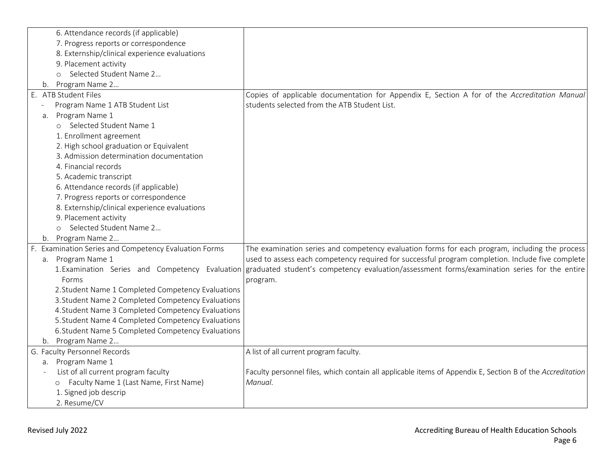|    |    | 6. Attendance records (if applicable)                 |                                                                                                                                              |
|----|----|-------------------------------------------------------|----------------------------------------------------------------------------------------------------------------------------------------------|
|    |    | 7. Progress reports or correspondence                 |                                                                                                                                              |
|    |    | 8. Externship/clinical experience evaluations         |                                                                                                                                              |
|    |    | 9. Placement activity                                 |                                                                                                                                              |
|    |    | o Selected Student Name 2                             |                                                                                                                                              |
|    |    | b. Program Name 2                                     |                                                                                                                                              |
| Ε. |    | <b>ATB Student Files</b>                              | Copies of applicable documentation for Appendix E, Section A for of the Accreditation Manual                                                 |
|    |    | Program Name 1 ATB Student List                       | students selected from the ATB Student List.                                                                                                 |
|    | a. | Program Name 1                                        |                                                                                                                                              |
|    |    | o Selected Student Name 1                             |                                                                                                                                              |
|    |    | 1. Enrollment agreement                               |                                                                                                                                              |
|    |    | 2. High school graduation or Equivalent               |                                                                                                                                              |
|    |    | 3. Admission determination documentation              |                                                                                                                                              |
|    |    | 4. Financial records                                  |                                                                                                                                              |
|    |    | 5. Academic transcript                                |                                                                                                                                              |
|    |    | 6. Attendance records (if applicable)                 |                                                                                                                                              |
|    |    | 7. Progress reports or correspondence                 |                                                                                                                                              |
|    |    | 8. Externship/clinical experience evaluations         |                                                                                                                                              |
|    |    | 9. Placement activity                                 |                                                                                                                                              |
|    |    | o Selected Student Name 2                             |                                                                                                                                              |
|    |    | b. Program Name 2                                     |                                                                                                                                              |
|    |    | F. Examination Series and Competency Evaluation Forms | The examination series and competency evaluation forms for each program, including the process                                               |
|    |    | a. Program Name 1                                     | used to assess each competency required for successful program completion. Include five complete                                             |
|    |    |                                                       | 1. Examination Series and Competency Evaluation graduated student's competency evaluation/assessment forms/examination series for the entire |
|    |    | Forms                                                 | program.                                                                                                                                     |
|    |    | 2. Student Name 1 Completed Competency Evaluations    |                                                                                                                                              |
|    |    | 3. Student Name 2 Completed Competency Evaluations    |                                                                                                                                              |
|    |    | 4. Student Name 3 Completed Competency Evaluations    |                                                                                                                                              |
|    |    | 5. Student Name 4 Completed Competency Evaluations    |                                                                                                                                              |
|    |    | 6. Student Name 5 Completed Competency Evaluations    |                                                                                                                                              |
|    | b. | Program Name 2                                        |                                                                                                                                              |
|    |    | G. Faculty Personnel Records                          | A list of all current program faculty.                                                                                                       |
|    |    | a. Program Name 1                                     |                                                                                                                                              |
|    |    | List of all current program faculty                   | Faculty personnel files, which contain all applicable items of Appendix E, Section B of the Accreditation                                    |
|    |    | o Faculty Name 1 (Last Name, First Name)              | Manual.                                                                                                                                      |
|    |    | 1. Signed job descrip                                 |                                                                                                                                              |
|    |    | 2. Resume/CV                                          |                                                                                                                                              |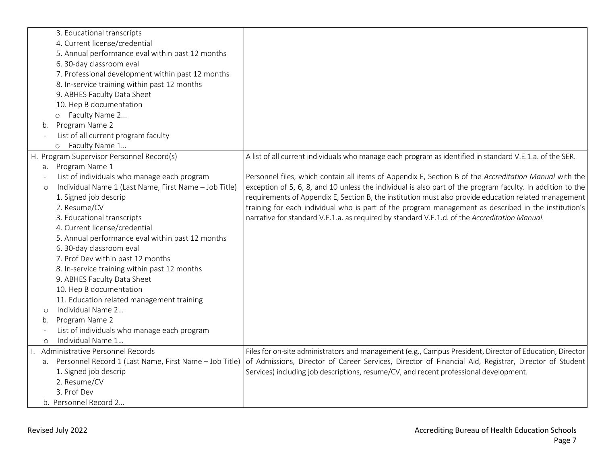|         | 3. Educational transcripts                             |                                                                                                            |
|---------|--------------------------------------------------------|------------------------------------------------------------------------------------------------------------|
|         | 4. Current license/credential                          |                                                                                                            |
|         | 5. Annual performance eval within past 12 months       |                                                                                                            |
|         | 6. 30-day classroom eval                               |                                                                                                            |
|         | 7. Professional development within past 12 months      |                                                                                                            |
|         | 8. In-service training within past 12 months           |                                                                                                            |
|         | 9. ABHES Faculty Data Sheet                            |                                                                                                            |
|         | 10. Hep B documentation                                |                                                                                                            |
|         | o Faculty Name 2                                       |                                                                                                            |
| b.      | Program Name 2                                         |                                                                                                            |
|         | List of all current program faculty                    |                                                                                                            |
|         | o Faculty Name 1                                       |                                                                                                            |
|         | H. Program Supervisor Personnel Record(s)              | A list of all current individuals who manage each program as identified in standard V.E.1.a. of the SER.   |
| а.      | Program Name 1                                         |                                                                                                            |
|         | List of individuals who manage each program            | Personnel files, which contain all items of Appendix E, Section B of the Accreditation Manual with the     |
| $\circ$ | Individual Name 1 (Last Name, First Name - Job Title)  | exception of 5, 6, 8, and 10 unless the individual is also part of the program faculty. In addition to the |
|         | 1. Signed job descrip                                  | requirements of Appendix E, Section B, the institution must also provide education related management      |
|         | 2. Resume/CV                                           | training for each individual who is part of the program management as described in the institution's       |
|         | 3. Educational transcripts                             | narrative for standard V.E.1.a. as required by standard V.E.1.d. of the Accreditation Manual.              |
|         | 4. Current license/credential                          |                                                                                                            |
|         | 5. Annual performance eval within past 12 months       |                                                                                                            |
|         | 6. 30-day classroom eval                               |                                                                                                            |
|         | 7. Prof Dev within past 12 months                      |                                                                                                            |
|         | 8. In-service training within past 12 months           |                                                                                                            |
|         | 9. ABHES Faculty Data Sheet                            |                                                                                                            |
|         | 10. Hep B documentation                                |                                                                                                            |
|         | 11. Education related management training              |                                                                                                            |
| $\circ$ | Individual Name 2                                      |                                                                                                            |
| b.      | Program Name 2                                         |                                                                                                            |
|         | List of individuals who manage each program            |                                                                                                            |
| $\circ$ | Individual Name 1                                      |                                                                                                            |
|         | Administrative Personnel Records                       | Files for on-site administrators and management (e.g., Campus President, Director of Education, Director   |
| a.      | Personnel Record 1 (Last Name, First Name - Job Title) | of Admissions, Director of Career Services, Director of Financial Aid, Registrar, Director of Student      |
|         | 1. Signed job descrip                                  | Services) including job descriptions, resume/CV, and recent professional development.                      |
|         | 2. Resume/CV                                           |                                                                                                            |
|         | 3. Prof Dev                                            |                                                                                                            |
|         | b. Personnel Record 2                                  |                                                                                                            |